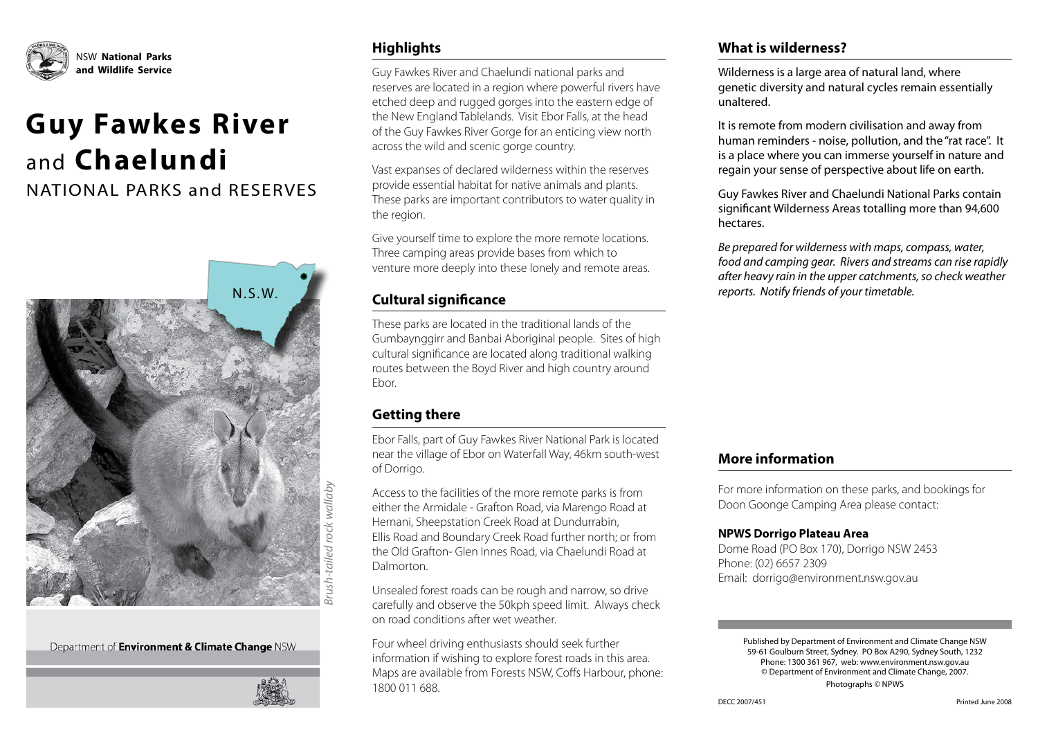

# **Guy Fawkes River**  and **Chaelundi**

NATIONAL PARKS and RESERVES



*Brush-tailed rock wallaby* Brush-tailed rock wallaby

Department of **Environment & Climate Change** NSW



#### **Highlights**

Guy Fawkes River and Chaelundi national parks and reserves are located in a region where powerful rivers have etched deep and rugged gorges into the eastern edge of the New England Tablelands. Visit Ebor Falls, at the head of the Guy Fawkes River Gorge for an enticing view north across the wild and scenic gorge country.

Vast expanses of declared wilderness within the reserves provide essential habitat for native animals and plants. These parks are important contributors to water quality in the region.

Give yourself time to explore the more remote locations. Three camping areas provide bases from which to venture more deeply into these lonely and remote areas.

#### **Cultural significance**

These parks are located in the traditional lands of the Gumbaynggirr and Banbai Aboriginal people. Sites of high cultural significance are located along traditional walking routes between the Boyd River and high country around Ebor.

#### **Getting there**

Ebor Falls, part of Guy Fawkes River National Park is located near the village of Ebor on Waterfall Way, 46km south-west of Dorrigo.

Access to the facilities of the more remote parks is from either the Armidale - Grafton Road, via Marengo Road at Hernani, Sheepstation Creek Road at Dundurrabin, Ellis Road and Boundary Creek Road further north; or from the Old Grafton- Glen Innes Road, via Chaelundi Road at Dalmorton.

Unsealed forest roads can be rough and narrow, so drive carefully and observe the 50kph speed limit. Always check on road conditions after wet weather.

Four wheel driving enthusiasts should seek further information if wishing to explore forest roads in this area. Maps are available from Forests NSW, Coffs Harbour, phone: 1800 011 688.

#### **What is wilderness?**

Wilderness is a large area of natural land, where genetic diversity and natural cycles remain essentially unaltered.

It is remote from modern civilisation and away from human reminders - noise, pollution, and the "rat race". It is a place where you can immerse yourself in nature and regain your sense of perspective about life on earth.

Guy Fawkes River and Chaelundi National Parks contain significant Wilderness Areas totalling more than 94,600 hectares.

*Be prepared for wilderness with maps, compass, water, food and camping gear. Rivers and streams can rise rapidly after heavy rain in the upper catchments, so check weather reports. Notify friends of your timetable.*

#### **More information**

For more information on these parks, and bookings for Doon Goonge Camping Area please contact:

#### **NPWS Dorrigo Plateau Area**

Dome Road (PO Box 170), Dorrigo NSW 2453 Phone: (02) 6657 2309 Email: dorrigo@environment.nsw.gov.au

> Published by Department of Environment and Climate Change NSW 59-61 Goulburn Street, Sydney. PO Box A290, Sydney South, 1232 Phone: 1300 361 967, web: www.environment.nsw.gov.au © Department of Environment and Climate Change, 2007. Photographs © NPWS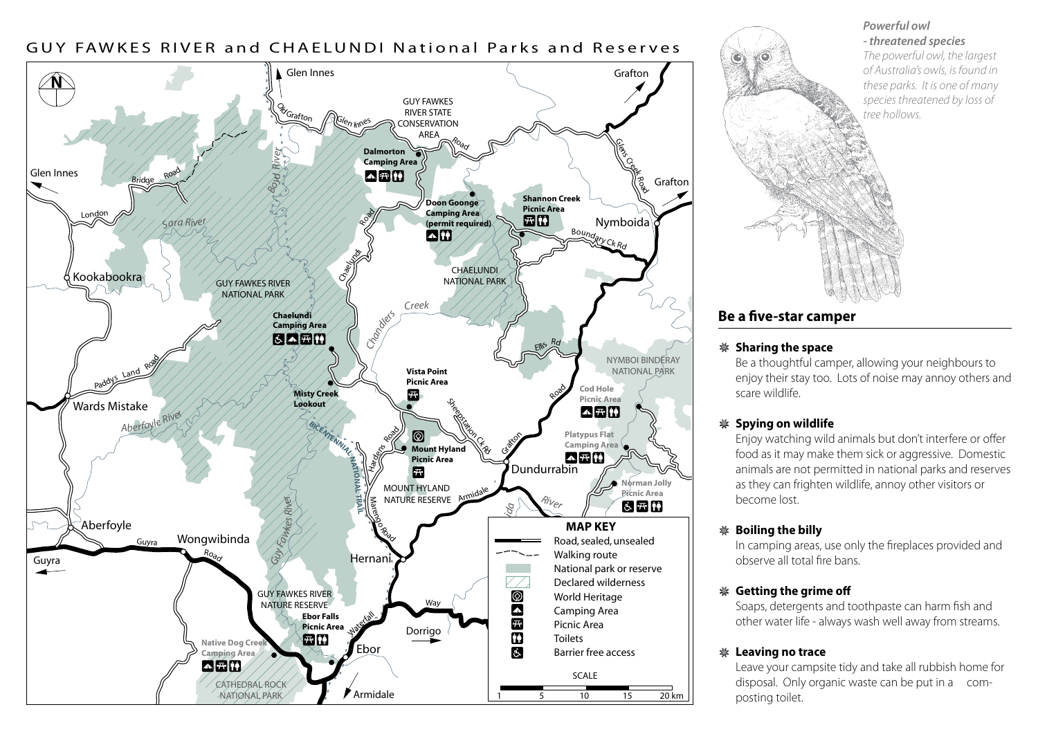

#### *Powerful owl - threatened species*

*The powerful owl, the largest of Australia's owls, is found in these parks. It is one of many species threatened by loss of tree hollows.*



#### **Be a five-star camper**

#### **Sharing the space**

Be a thoughtful camper, allowing your neighbours to enjoy their stay too. Lots of noise may annoy others and scare wildlife.

#### **Spying on wildlife**

Enjoy watching wild animals but don't interfere or offer food as it may make them sick or aggressive. Domestic animals are not permitted in national parks and reserves as they can frighten wildlife, annoy other visitors or become lost.

#### **Boiling the billy**

In camping areas, use only the fireplaces provided and observe all total fire bans.

#### **Getting the grime off**

Soaps, detergents and toothpaste can harm fish and other water life - always wash well away from streams.

#### **Leaving no trace**

Leave your campsite tidy and take all rubbish home for disposal. Only organic waste can be put in a composting toilet.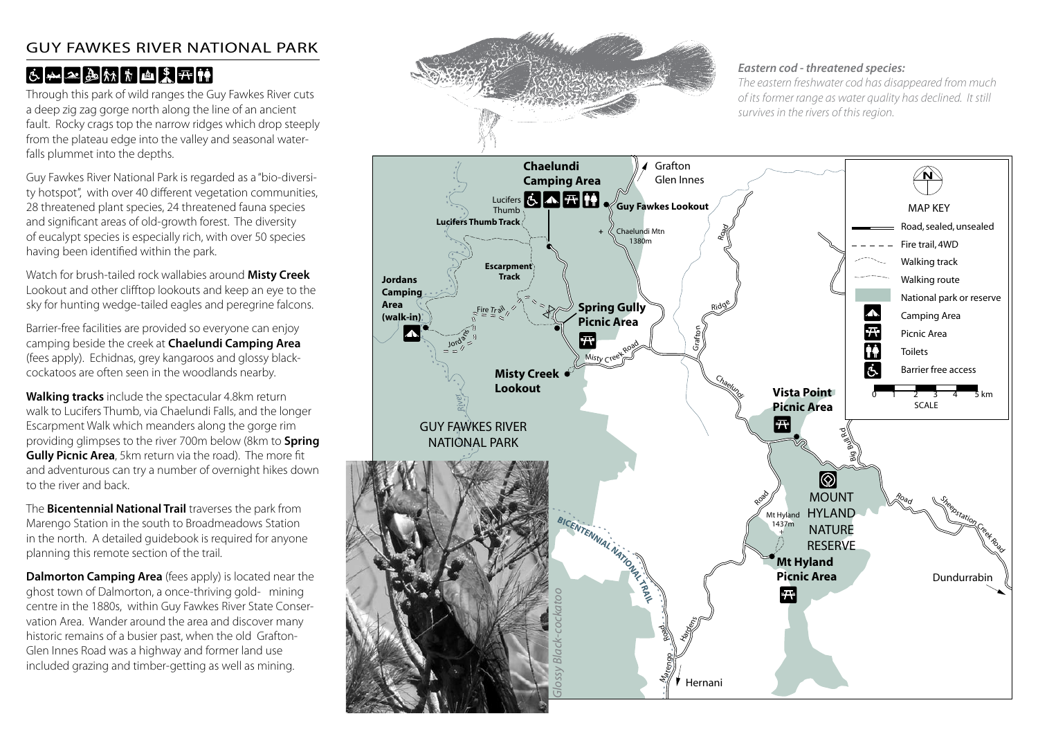#### GUY FAWKES RIVER NATIONAL PARK

# $6.423$

Through this park of wild ranges the Guy Fawkes River cuts a deep zig zag gorge north along the line of an ancient fault. Rocky crags top the narrow ridges which drop steeply from the plateau edge into the valley and seasonal waterfalls plummet into the depths.

Guy Fawkes River National Park is regarded as a "bio-diversity hotspot", with over 40 different vegetation communities, 28 threatened plant species, 24 threatened fauna species and significant areas of old-growth forest. The diversity of eucalypt species is especially rich, with over 50 species having been identified within the park.

Watch for brush-tailed rock wallabies around **Misty Creek** Lookout and other clifftop lookouts and keep an eye to the sky for hunting wedge-tailed eagles and peregrine falcons.

Barrier-free facilities are provided so everyone can enjoy camping beside the creek at **Chaelundi Camping Area** (fees apply). Echidnas, grey kangaroos and glossy blackcockatoos are often seen in the woodlands nearby.

**Walking tracks** include the spectacular 4.8km return walk to Lucifers Thumb, via Chaelundi Falls, and the longer Escarpment Walk which meanders along the gorge rim providing glimpses to the river 700m below (8km to **Spring Gully Picnic Area**, 5km return via the road). The more fit and adventurous can try a number of overnight hikes down to the river and back.

The **Bicentennial National Trail** traverses the park from Marengo Station in the south to Broadmeadows Station in the north. A detailed guidebook is required for anyone planning this remote section of the trail.

**Dalmorton Camping Area** (fees apply) is located near the ghost town of Dalmorton, a once-thriving gold- mining centre in the 1880s, within Guy Fawkes River State Conservation Area. Wander around the area and discover many historic remains of a busier past, when the old Grafton-Glen Innes Road was a highway and former land use included grazing and timber-getting as well as mining.



#### *Eastern cod - threatened species:*

*The eastern freshwater cod has disappeared from much of its former range as water quality has declined. It still survives in the rivers of this region.*